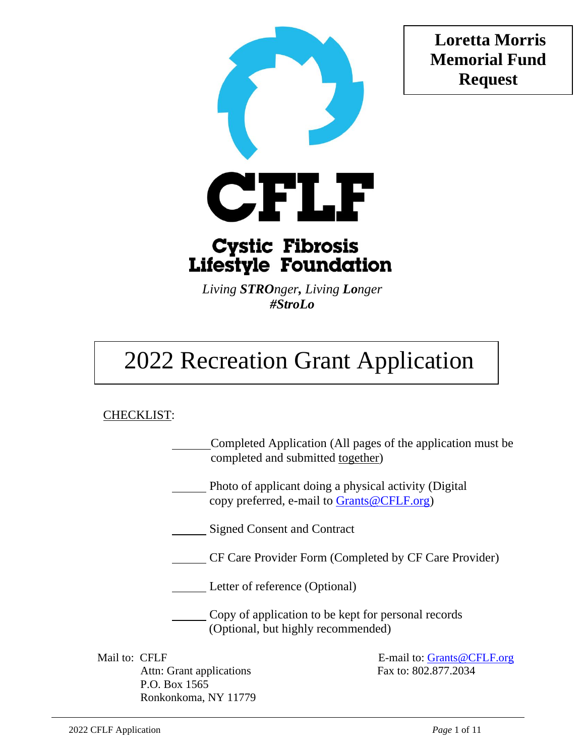**Loretta Morris Memorial Fund Request**



## **Cystic Fibrosis Lifestyle Foundation**

*Living STROnger, Living Longer #StroLo*

# 2022 Recreation Grant Application

### CHECKLIST:

Completed Application (All pages of the application must be completed and submitted together)

Photo of applicant doing a physical activity (Digital copy preferred, e-mail to [Grants@CFLF.org\)](mailto:Grants@CFLF.org)

Signed Consent and Contract

CF Care Provider Form (Completed by CF Care Provider)

Letter of reference (Optional)

Copy of application to be kept for personal records (Optional, but highly recommended)

Attn: Grant applications Fax to: 802.877.2034 P.O. Box 1565 Ronkonkoma, NY 11779

Mail to: CFLF E-mail to: [Grants@CFLF.org](mailto:Grants@CFLF.org)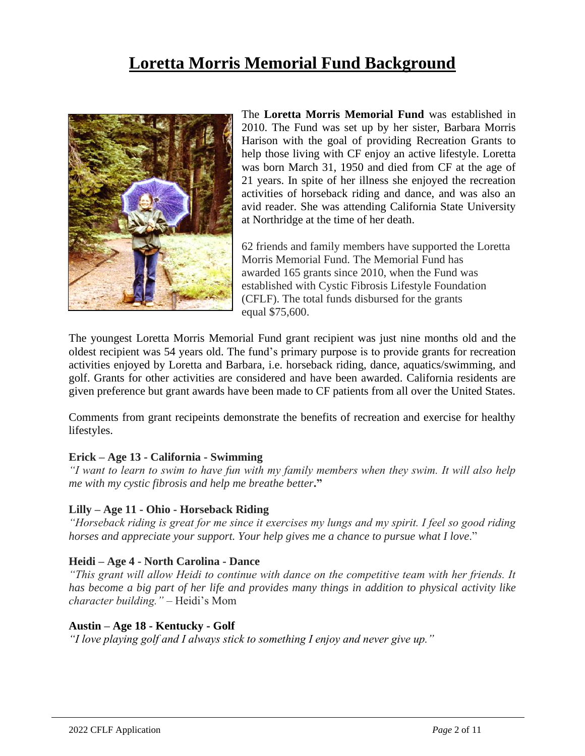### **Loretta Morris Memorial Fund Background**



The **Loretta Morris Memorial Fund** was established in 2010. The Fund was set up by her sister, Barbara Morris Harison with the goal of providing Recreation Grants to help those living with CF enjoy an active lifestyle. Loretta was born March 31, 1950 and died from CF at the age of 21 years. In spite of her illness she enjoyed the recreation activities of horseback riding and dance, and was also an avid reader. She was attending California State University at Northridge at the time of her death.

62 friends and family members have supported the Loretta Morris Memorial Fund. The Memorial Fund has awarded 165 grants since 2010, when the Fund was established with Cystic Fibrosis Lifestyle Foundation (CFLF). The total funds disbursed for the grants equal \$75,600.

The youngest Loretta Morris Memorial Fund grant recipient was just nine months old and the oldest recipient was 54 years old. The fund's primary purpose is to provide grants for recreation activities enjoyed by Loretta and Barbara, i.e. horseback riding, dance, aquatics/swimming, and golf. Grants for other activities are considered and have been awarded. California residents are given preference but grant awards have been made to CF patients from all over the United States.

Comments from grant recipeints demonstrate the benefits of recreation and exercise for healthy lifestyles.

#### **Erick – Age 13 - California - Swimming**

*"I want to learn to swim to have fun with my family members when they swim. It will also help me with my cystic fibrosis and help me breathe better***."**

#### **Lilly – Age 11 - Ohio - Horseback Riding**

*"Horseback riding is great for me since it exercises my lungs and my spirit. I feel so good riding horses and appreciate your support. Your help gives me a chance to pursue what I love.*"

#### **Heidi – Age 4 - North Carolina - Dance**

*"This grant will allow Heidi to continue with dance on the competitive team with her friends. It has become a big part of her life and provides many things in addition to physical activity like character building."* – Heidi's Mom

#### **Austin – Age 18 - Kentucky - Golf**

*"I love playing golf and I always stick to something I enjoy and never give up."*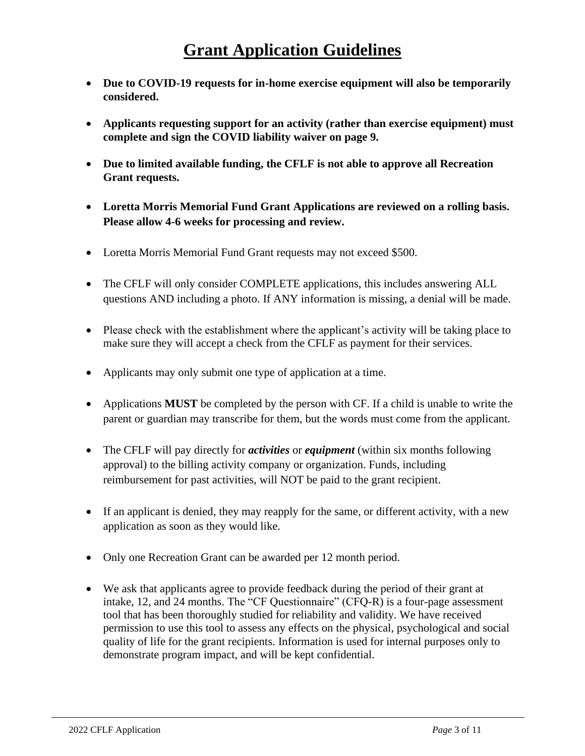- **Due to COVID-19 requests for in-home exercise equipment will also be temporarily considered.**
- **Applicants requesting support for an activity (rather than exercise equipment) must complete and sign the COVID liability waiver on page 9.**
- **Due to limited available funding, the CFLF is not able to approve all Recreation Grant requests.**
- **Loretta Morris Memorial Fund Grant Applications are reviewed on a rolling basis. Please allow 4-6 weeks for processing and review.**
- Loretta Morris Memorial Fund Grant requests may not exceed \$500.
- The CFLF will only consider COMPLETE applications, this includes answering ALL questions AND including a photo. If ANY information is missing, a denial will be made.
- Please check with the establishment where the applicant's activity will be taking place to make sure they will accept a check from the CFLF as payment for their services.
- Applicants may only submit one type of application at a time.
- Applications **MUST** be completed by the person with CF. If a child is unable to write the parent or guardian may transcribe for them, but the words must come from the applicant.
- The CFLF will pay directly for *activities* or *equipment* (within six months following approval) to the billing activity company or organization. Funds, including reimbursement for past activities, will NOT be paid to the grant recipient.
- If an applicant is denied, they may reapply for the same, or different activity, with a new application as soon as they would like.
- Only one Recreation Grant can be awarded per 12 month period.
- We ask that applicants agree to provide feedback during the period of their grant at intake, 12, and 24 months. The "CF Questionnaire" (CFQ-R) is a four-page assessment tool that has been thoroughly studied for reliability and validity. We have received permission to use this tool to assess any effects on the physical, psychological and social quality of life for the grant recipients. Information is used for internal purposes only to demonstrate program impact, and will be kept confidential.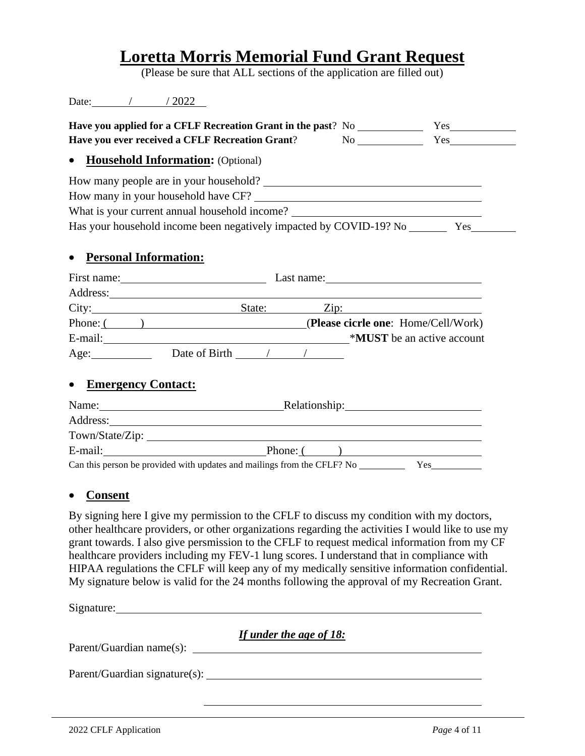### **Loretta Morris Memorial Fund Grant Request**

(Please be sure that ALL sections of the application are filled out)

| Date: | $\sqrt{2022}$ |
|-------|---------------|
|       |               |

| Have you applied for a CFLF Recreation Grant in the past? No |                                     |    | Yes |
|--------------------------------------------------------------|-------------------------------------|----|-----|
| Have you ever received a CFLF Recreation Grant?              |                                     | Nο | Yes |
|                                                              | • Household Information: (Optional) |    |     |

How many people are in your household? How many in your household have CF? What is your current annual household income? Has your household income been negatively impacted by COVID-19? No Yes

### • **Personal Information:**

| First name: |  |               | Last name: |  |      |                                     |
|-------------|--|---------------|------------|--|------|-------------------------------------|
| Address:    |  |               |            |  |      |                                     |
| City:       |  |               | State:     |  | Zip: |                                     |
| Phone: (    |  |               |            |  |      | (Please cicrle one: Home/Cell/Work) |
| E-mail:     |  |               |            |  |      | *MUST be an active account          |
| Age:        |  | Date of Birth |            |  |      |                                     |

### • **Emergency Contact:**

| Name:           | Relationship:                                                                  |
|-----------------|--------------------------------------------------------------------------------|
| Address:        |                                                                                |
| Town/State/Zip: |                                                                                |
| E-mail:         | Phone: (                                                                       |
|                 | Can this person be provided with updates and mailings from the CFLF? No<br>Yes |

### • **Consent**

By signing here I give my permission to the CFLF to discuss my condition with my doctors, other healthcare providers, or other organizations regarding the activities I would like to use my grant towards. I also give persmission to the CFLF to request medical information from my CF healthcare providers including my FEV-1 lung scores. I understand that in compliance with HIPAA regulations the CFLF will keep any of my medically sensitive information confidential. My signature below is valid for the 24 months following the approval of my Recreation Grant.

Signature: Signature:

*If under the age of 18:*

Parent/Guardian name(s):

Parent/Guardian signature(s):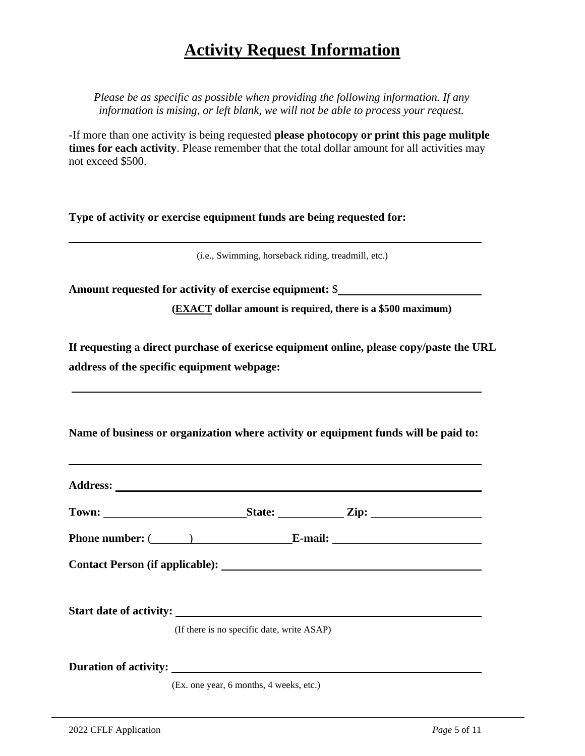### **Activity Request Information**

*Please be as specific as possible when providing the following information. If any information is mising, or left blank, we will not be able to process your request.* 

-If more than one activity is being requested **please photocopy or print this page mulitple times for each activity**. Please remember that the total dollar amount for all activities may not exceed \$500.

**Type of activity or exercise equipment funds are being requested for:** 

(i.e., Swimming, horseback riding, treadmill, etc.)

**Amount requested for activity of exercise equipment:** \$

**(EXACT dollar amount is required, there is a \$500 maximum)**

**If requesting a direct purchase of exericse equipment online, please copy/paste the URL address of the specific equipment webpage:**

**Name of business or organization where activity or equipment funds will be paid to:**

|                                |                                            | $\text{State:}$ $\text{Zip:}$ |  |
|--------------------------------|--------------------------------------------|-------------------------------|--|
| Phone number: $(\_\_)$ E-mail: |                                            |                               |  |
|                                |                                            |                               |  |
|                                | (If there is no specific date, write ASAP) |                               |  |
| Duration of activity:          | (Ex. one year, 6 months, 4 weeks, etc.)    |                               |  |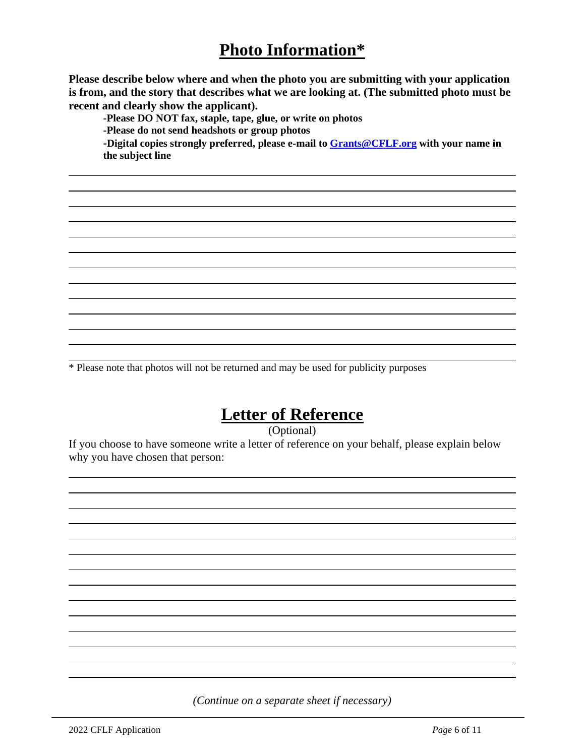### **Photo Information\***

**Please describe below where and when the photo you are submitting with your application is from, and the story that describes what we are looking at. (The submitted photo must be recent and clearly show the applicant).**

**-Please DO NOT fax, staple, tape, glue, or write on photos**

**-Please do not send headshots or group photos**

**-Digital copies strongly preferred, please e-mail to [Grants@CFLF.org](mailto:Grants@CFLF.org) with your name in the subject line**

\* Please note that photos will not be returned and may be used for publicity purposes

### **Letter of Reference**

(Optional)

If you choose to have someone write a letter of reference on your behalf, please explain below why you have chosen that person:

*(Continue on a separate sheet if necessary)*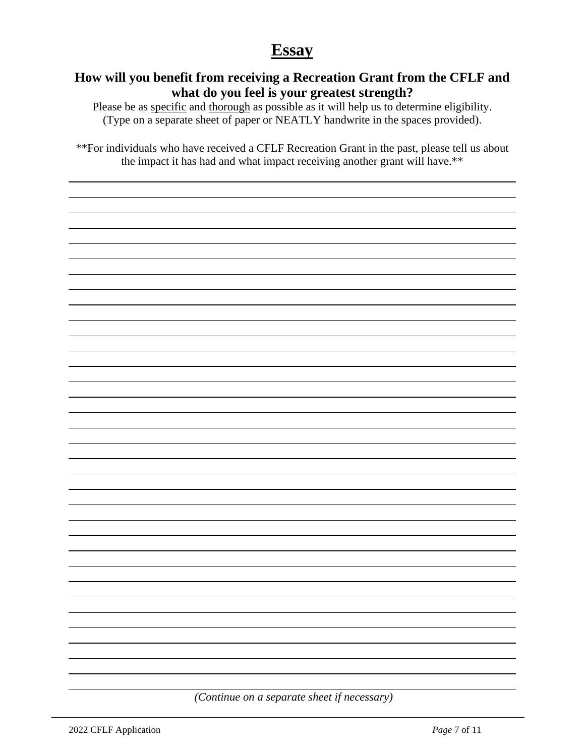### **Essay**

### **How will you benefit from receiving a Recreation Grant from the CFLF and what do you feel is your greatest strength?**

Please be as specific and thorough as possible as it will help us to determine eligibility. (Type on a separate sheet of paper or NEATLY handwrite in the spaces provided).

\*\*For individuals who have received a CFLF Recreation Grant in the past, please tell us about the impact it has had and what impact receiving another grant will have.\*\*

*(Continue on a separate sheet if necessary)*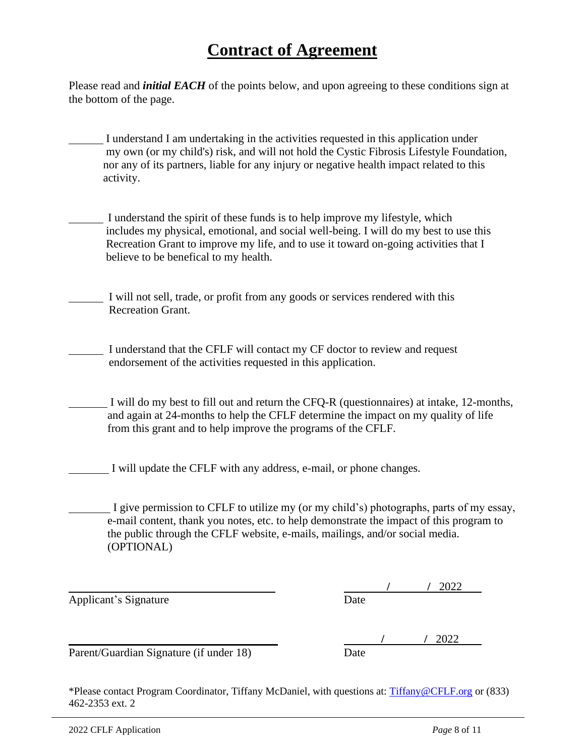### **Contract of Agreement**

Please read and *initial EACH* of the points below, and upon agreeing to these conditions sign at the bottom of the page.

- I understand I am undertaking in the activities requested in this application under my own (or my child's) risk, and will not hold the Cystic Fibrosis Lifestyle Foundation, nor any of its partners, liable for any injury or negative health impact related to this activity.
- I understand the spirit of these funds is to help improve my lifestyle, which includes my physical, emotional, and social well-being. I will do my best to use this Recreation Grant to improve my life, and to use it toward on-going activities that I believe to be benefical to my health.
- I will not sell, trade, or profit from any goods or services rendered with this Recreation Grant.
- I understand that the CFLF will contact my CF doctor to review and request endorsement of the activities requested in this application.
	- I will do my best to fill out and return the CFQ-R (questionnaires) at intake, 12-months, and again at 24-months to help the CFLF determine the impact on my quality of life from this grant and to help improve the programs of the CFLF.
- I will update the CFLF with any address, e-mail, or phone changes.
- I give permission to CFLF to utilize my (or my child's) photographs, parts of my essay, e-mail content, thank you notes, etc. to help demonstrate the impact of this program to the public through the CFLF website, e-mails, mailings, and/or social media. (OPTIONAL)

Applicant's Signature Date

|   |  | 0.000 |  |
|---|--|-------|--|
| . |  |       |  |

Parent/Guardian Signature (if under 18) Date

 **/ /** 2022

\*Please contact Program Coordinator, Tiffany McDaniel, with questions at: [Tiffany@CFLF.org](mailto:Tiffany@CFLF.org) or (833) 462-2353 ext. 2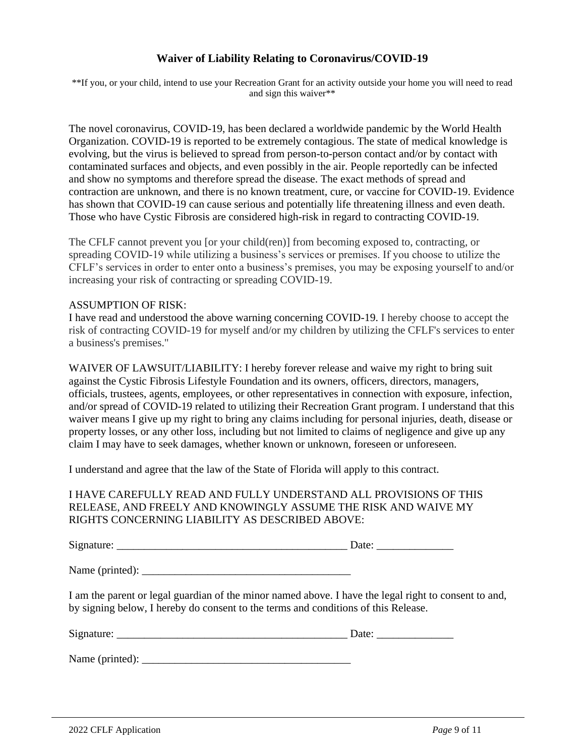#### **Waiver of Liability Relating to Coronavirus/COVID-19**

\*\*If you, or your child, intend to use your Recreation Grant for an activity outside your home you will need to read and sign this waiver\*\*

The novel coronavirus, COVID-19, has been declared a worldwide pandemic by the World Health Organization. COVID-19 is reported to be extremely contagious. The state of medical knowledge is evolving, but the virus is believed to spread from person-to-person contact and/or by contact with contaminated surfaces and objects, and even possibly in the air. People reportedly can be infected and show no symptoms and therefore spread the disease. The exact methods of spread and contraction are unknown, and there is no known treatment, cure, or vaccine for COVID-19. Evidence has shown that COVID-19 can cause serious and potentially life threatening illness and even death. Those who have Cystic Fibrosis are considered high-risk in regard to contracting COVID-19.

The CFLF cannot prevent you [or your child(ren)] from becoming exposed to, contracting, or spreading COVID-19 while utilizing a business's services or premises. If you choose to utilize the CFLF's services in order to enter onto a business's premises, you may be exposing yourself to and/or increasing your risk of contracting or spreading COVID-19.

#### ASSUMPTION OF RISK:

I have read and understood the above warning concerning COVID-19. I hereby choose to accept the risk of contracting COVID-19 for myself and/or my children by utilizing the CFLF's services to enter a business's premises."

WAIVER OF LAWSUIT/LIABILITY: I hereby forever release and waive my right to bring suit against the Cystic Fibrosis Lifestyle Foundation and its owners, officers, directors, managers, officials, trustees, agents, employees, or other representatives in connection with exposure, infection, and/or spread of COVID-19 related to utilizing their Recreation Grant program. I understand that this waiver means I give up my right to bring any claims including for personal injuries, death, disease or property losses, or any other loss, including but not limited to claims of negligence and give up any claim I may have to seek damages, whether known or unknown, foreseen or unforeseen.

I understand and agree that the law of the State of Florida will apply to this contract.

#### I HAVE CAREFULLY READ AND FULLY UNDERSTAND ALL PROVISIONS OF THIS RELEASE, AND FREELY AND KNOWINGLY ASSUME THE RISK AND WAIVE MY RIGHTS CONCERNING LIABILITY AS DESCRIBED ABOVE:

Signature: \_\_\_\_\_\_\_\_\_\_\_\_\_\_\_\_\_\_\_\_\_\_\_\_\_\_\_\_\_\_\_\_\_\_\_\_\_\_\_\_\_\_ Date: \_\_\_\_\_\_\_\_\_\_\_\_\_\_

 $Name (printed): \nightharpoonup$ 

I am the parent or legal guardian of the minor named above. I have the legal right to consent to and, by signing below, I hereby do consent to the terms and conditions of this Release.

| Signature: | $\mathbf{r}$<br>້ |
|------------|-------------------|
|            |                   |
|            |                   |

Name (printed): \_\_\_\_\_\_\_\_\_\_\_\_\_\_\_\_\_\_\_\_\_\_\_\_\_\_\_\_\_\_\_\_\_\_\_\_\_\_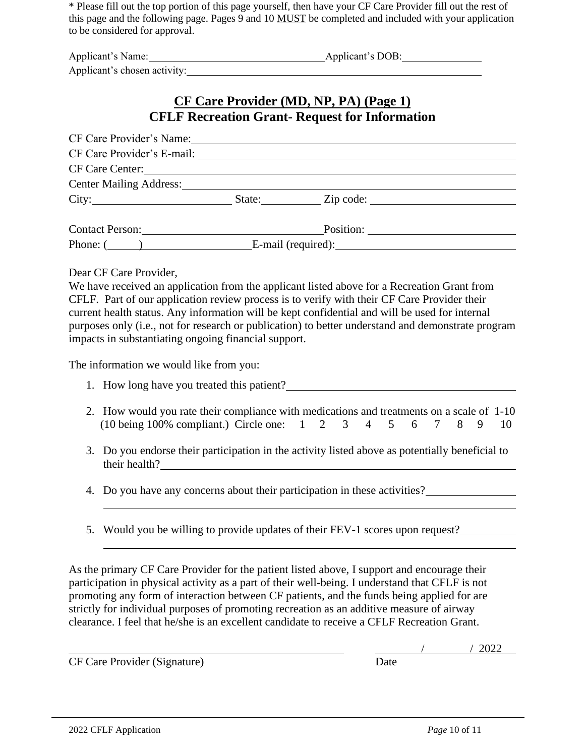\* Please fill out the top portion of this page yourself, then have your CF Care Provider fill out the rest of this page and the following page. Pages 9 and 10 MUST be completed and included with your application to be considered for approval.

| Applicant's Name:            | Applicant's DOB: |
|------------------------------|------------------|
| Applicant's chosen activity: |                  |

### **CF Care Provider (MD, NP, PA) (Page 1) CFLF Recreation Grant- Request for Information**

| CF Care Provider's Name:                               |  |  |
|--------------------------------------------------------|--|--|
|                                                        |  |  |
| CF Care Center:                                        |  |  |
| <b>Center Mailing Address:</b> Center Mailing Address: |  |  |
| City: State: Zip code:                                 |  |  |
|                                                        |  |  |
| <b>Contact Person:</b> Position: Position:             |  |  |
| Phone: $($                                             |  |  |

Dear CF Care Provider,

We have received an application from the applicant listed above for a Recreation Grant from CFLF. Part of our application review process is to verify with their CF Care Provider their current health status. Any information will be kept confidential and will be used for internal purposes only (i.e., not for research or publication) to better understand and demonstrate program impacts in substantiating ongoing financial support.

The information we would like from you:

- 1. How long have you treated this patient?
- 2. How would you rate their compliance with medications and treatments on a scale of 1-10 (10 being 100% compliant.) Circle one: 1 2 3 4 5 6 7 8 9 10
- 3. Do you endorse their participation in the activity listed above as potentially beneficial to their health?
- 4. Do you have any concerns about their participation in these activities?
- 5. Would you be willing to provide updates of their FEV-1 scores upon request?

As the primary CF Care Provider for the patient listed above, I support and encourage their participation in physical activity as a part of their well-being. I understand that CFLF is not promoting any form of interaction between CF patients, and the funds being applied for are strictly for individual purposes of promoting recreation as an additive measure of airway clearance. I feel that he/she is an excellent candidate to receive a CFLF Recreation Grant.

CF Care Provider (Signature) Date

 $/ 2022$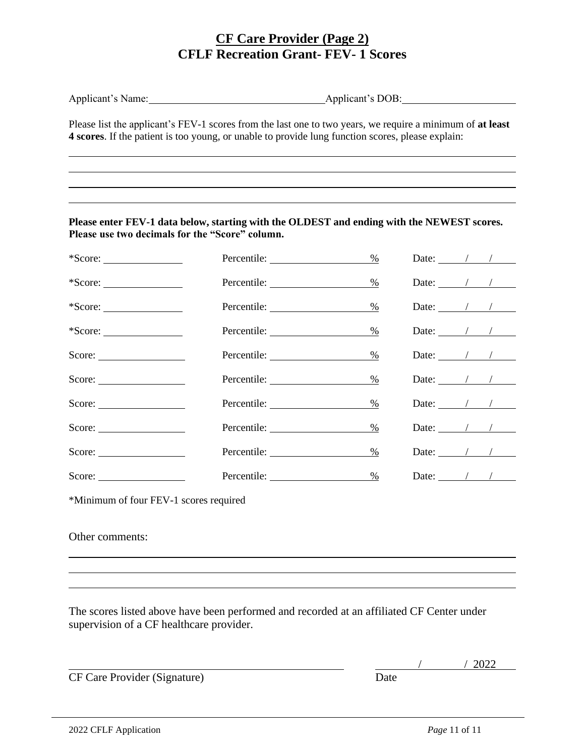### **CF Care Provider (Page 2) CFLF Recreation Grant- FEV- 1 Scores**

|                                                 | Please list the applicant's FEV-1 scores from the last one to two years, we require a minimum of at least<br>4 scores. If the patient is too young, or unable to provide lung function scores, please explain: |      |                                        |  |  |  |
|-------------------------------------------------|----------------------------------------------------------------------------------------------------------------------------------------------------------------------------------------------------------------|------|----------------------------------------|--|--|--|
|                                                 |                                                                                                                                                                                                                |      |                                        |  |  |  |
|                                                 |                                                                                                                                                                                                                |      |                                        |  |  |  |
| Please use two decimals for the "Score" column. | Please enter FEV-1 data below, starting with the OLDEST and ending with the NEWEST scores.                                                                                                                     |      |                                        |  |  |  |
| $*Score:$                                       |                                                                                                                                                                                                                | $\%$ |                                        |  |  |  |
| $*Score:$                                       | Percentile:                                                                                                                                                                                                    | $\%$ | Date: $\frac{1}{\sqrt{1-\frac{1}{2}}}$ |  |  |  |
| $*Score:$                                       | Percentile: University of Percentile:                                                                                                                                                                          | $\%$ | Date: $\angle$ / /                     |  |  |  |
| $*Score:$                                       |                                                                                                                                                                                                                | $\%$ | Date: $\angle$ / /                     |  |  |  |
| Score:                                          |                                                                                                                                                                                                                | $\%$ | Date: $\frac{\ }{}$ / /                |  |  |  |
| Score:                                          |                                                                                                                                                                                                                | $\%$ | Date: $\angle$ / /                     |  |  |  |
|                                                 |                                                                                                                                                                                                                | $\%$ |                                        |  |  |  |
|                                                 |                                                                                                                                                                                                                | $\%$ | Date: $\frac{1}{\sqrt{1-\frac{1}{2}}}$ |  |  |  |
| Score:                                          |                                                                                                                                                                                                                | $\%$ | Date: $\frac{1}{\sqrt{1-\frac{1}{2}}}$ |  |  |  |
| Score:                                          |                                                                                                                                                                                                                | $\%$ | Date: $\frac{1}{\sqrt{1-\frac{1}{2}}}$ |  |  |  |
| *Minimum of four FEV-1 scores required          |                                                                                                                                                                                                                |      |                                        |  |  |  |

Other comments:

The scores listed above have been performed and recorded at an affiliated CF Center under supervision of a CF healthcare provider.

CF Care Provider (Signature) Date